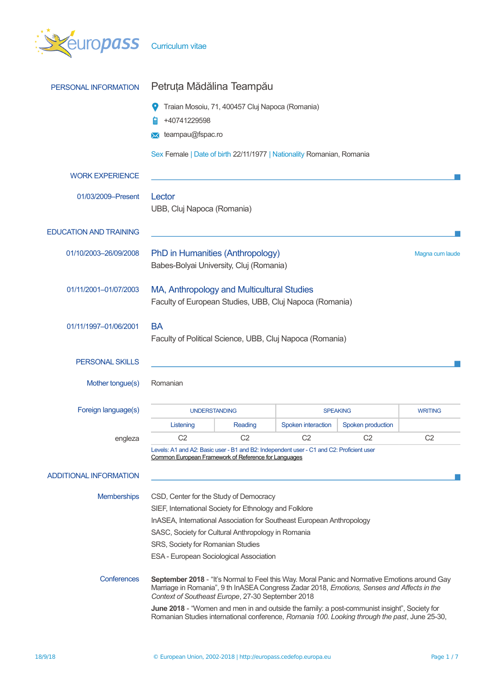

| PERSONAL INFORMATION          | Petruța Mădălina Teampău                                                                                                                                                                                                                         |                |                    |                   |                 |
|-------------------------------|--------------------------------------------------------------------------------------------------------------------------------------------------------------------------------------------------------------------------------------------------|----------------|--------------------|-------------------|-----------------|
|                               | Traian Mosoiu, 71, 400457 Cluj Napoca (Romania)<br>+40741229598                                                                                                                                                                                  |                |                    |                   |                 |
|                               | teampau@fspac.ro<br>ᢂ                                                                                                                                                                                                                            |                |                    |                   |                 |
|                               | Sex Female   Date of birth 22/11/1977   Nationality Romanian, Romania                                                                                                                                                                            |                |                    |                   |                 |
| <b>WORK EXPERIENCE</b>        |                                                                                                                                                                                                                                                  |                |                    |                   |                 |
| 01/03/2009-Present            | Lector<br>UBB, Cluj Napoca (Romania)                                                                                                                                                                                                             |                |                    |                   |                 |
| <b>EDUCATION AND TRAINING</b> |                                                                                                                                                                                                                                                  |                |                    |                   |                 |
| 01/10/2003-26/09/2008         | PhD in Humanities (Anthropology)<br>Babes-Bolyai University, Cluj (Romania)                                                                                                                                                                      |                |                    |                   | Magna cum laude |
| 01/11/2001-01/07/2003         | MA, Anthropology and Multicultural Studies<br>Faculty of European Studies, UBB, Cluj Napoca (Romania)                                                                                                                                            |                |                    |                   |                 |
| 01/11/1997-01/06/2001         | <b>BA</b><br>Faculty of Political Science, UBB, Cluj Napoca (Romania)                                                                                                                                                                            |                |                    |                   |                 |
| <b>PERSONAL SKILLS</b>        |                                                                                                                                                                                                                                                  |                |                    |                   |                 |
| Mother tongue(s)              | Romanian                                                                                                                                                                                                                                         |                |                    |                   |                 |
| Foreign language(s)           | <b>UNDERSTANDING</b>                                                                                                                                                                                                                             |                | <b>SPEAKING</b>    |                   | <b>WRITING</b>  |
|                               | Listening                                                                                                                                                                                                                                        | Reading        | Spoken interaction | Spoken production |                 |
| engleza                       | C <sub>2</sub>                                                                                                                                                                                                                                   | C <sub>2</sub> | C <sub>2</sub>     | C <sub>2</sub>    | C <sub>2</sub>  |
|                               | Levels: A1 and A2: Basic user - B1 and B2: Independent user - C1 and C2: Proficient user<br>Common European Framework of Reference for Languages                                                                                                 |                |                    |                   |                 |
| <b>ADDITIONAL INFORMATION</b> |                                                                                                                                                                                                                                                  |                |                    |                   |                 |
| <b>Memberships</b>            | CSD, Center for the Study of Democracy                                                                                                                                                                                                           |                |                    |                   |                 |
|                               | SIEF, International Society for Ethnology and Folklore                                                                                                                                                                                           |                |                    |                   |                 |
|                               | InASEA, International Association for Southeast European Anthropology                                                                                                                                                                            |                |                    |                   |                 |
|                               | SASC, Society for Cultural Anthropology in Romania                                                                                                                                                                                               |                |                    |                   |                 |
|                               | SRS, Society for Romanian Studies                                                                                                                                                                                                                |                |                    |                   |                 |
|                               | ESA - European Sociological Association                                                                                                                                                                                                          |                |                    |                   |                 |
| Conferences                   | September 2018 - "It's Normal to Feel this Way. Moral Panic and Normative Emotions around Gay<br>Marriage in Romania", 9 th InASEA Congress Zadar 2018, Emotions, Senses and Affects in the<br>Context of Southeast Europe, 27-30 September 2018 |                |                    |                   |                 |
|                               | June 2018 - "Women and men in and outside the family: a post-communist insight", Society for<br>Romanian Studies international conference, Romania 100. Looking through the past, June 25-30,                                                    |                |                    |                   |                 |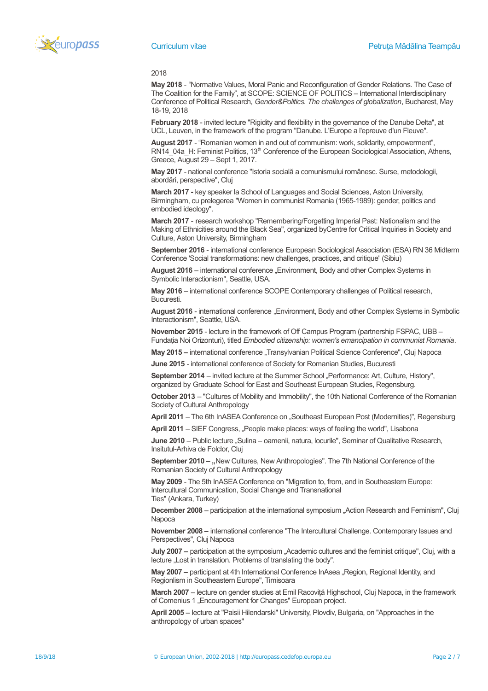

### 2018

**May 2018** - "Normative Values, Moral Panic and Reconfiguration of Gender Relations. The Case of The Coalition for the Family", at SCOPE: SCIENCE OF POLITICS – International Interdisciplinary Conference of Political Research, *Gender&Politics. The challenges of globalization*, Bucharest, May 18-19, 2018

**February 2018** - invited lecture "Rigidity and flexibility in the governance of the Danube Delta", at UCL, Leuven, in the framework of the program "Danube. L'Europe a l'epreuve d'un Fleuve".

**August 2017** - "Romanian women in and out of communism: work, solidarity, empowerment", RN14\_04a\_H: Feminist Politics, 13<sup>th</sup> Conference of the European Sociological Association, Athens, Greece, August 29 – Sept 1, 2017.

**May 2017** - national conference "Istoria socială a comunismului românesc. Surse, metodologii, abordări, perspective", Cluj

**March 2017 -** key speaker la School of Languages and Social Sciences, Aston University, Birmingham, cu prelegerea "Women in communist Romania (1965-1989): gender, politics and embodied ideology".

**March 2017** - research workshop "Remembering/Forgetting Imperial Past: Nationalism and the Making of Ethnicities around the Black Sea", organized byCentre for Critical Inquiries in Society and Culture, Aston University, Birmingham

**September 2016** - international conference European Sociological Association (ESA) RN 36 Midterm Conference 'Social transformations: new challenges, practices, and critique' (Sibiu)

August 2016 – international conference "Environment, Body and other Complex Systems in Symbolic Interactionism", Seattle, USA.

**May 2016** – international conference SCOPE Contemporary challenges of Political research, Bucuresti.

**August 2016** - international conference "Environment, Body and other Complex Systems in Symbolic Interactionism", Seattle, USA.

**November 2015** - lecture in the framework of Off Campus Program (partnership FSPAC, UBB – Fundatia Noi Orizonturi), titled *Embodied citizenship: women's emancipation in communist Romania*.

**May 2015 –** international conference "Transylvanian Political Science Conference", Cluj Napoca

**June 2015** - international conference of Society for Romanian Studies, Bucuresti

**September 2014** – invited lecture at the Summer School "Performance: Art, Culture, History", organized by Graduate School for East and Southeast European Studies, Regensburg.

**October 2013** – "Cultures of Mobility and Immobility", the 10th National Conference of the Romanian Society of Cultural Anthropology

April 2011 – The 6th InASEA Conference on "Southeast European Post (Modernities)", Regensburg

**April 2011** – SIEF Congress, "People make places: ways of feeling the world", Lisabona

June 2010 – Public lecture "Sulina – oamenii, natura, locurile", Seminar of Qualitative Research, Insitutul-Arhiva de Folclor, Cluj

September 2010 – "New Cultures, New Anthropologies". The 7th National Conference of the Romanian Society of Cultural Anthropology

**May 2009** - The 5th InASEA Conference on "Migration to, from, and in Southeastern Europe: Intercultural Communication, Social Change and Transnational Ties" (Ankara, Turkey)

**December 2008** – participation at the international symposium "Action Research and Feminism", Cluj **Napoca** 

**November 2008 –** international conference "The Intercultural Challenge. Contemporary Issues and Perspectives", Cluj Napoca

**July 2007** – participation at the symposium "Academic cultures and the feminist critique", Cluj, with a lecture . Lost in translation. Problems of translating the body".

**May 2007** – participant at 4th International Conference InAsea "Region, Regional Identity, and Regionlism in Southeastern Europe", Timisoara

**March 2007** – lecture on gender studies at Emil Racovită Highschool, Cluj Napoca, in the framework of Comenius 1 "Encouragement for Changes" European project.

**April 2005 –** lecture at "Paisii Hilendarski" University, Plovdiv, Bulgaria, on "Approaches in the anthropology of urban spaces"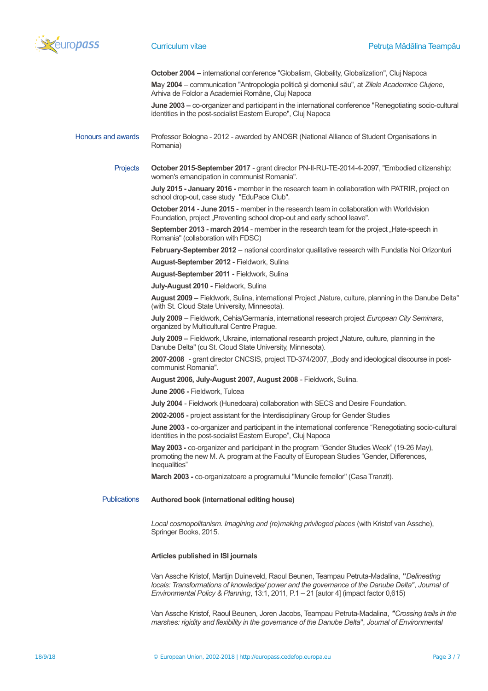

**October 2004 –** international conference "Globalism, Globality, Globalization", Cluj Napoca

**Ma**y **2004** – communication "Antropologia politică şi domeniul său", at *Zilele Academice Clujene*, Arhiva de Folclor a Academiei Române, Cluj Napoca

**June 2003 –** co-organizer and participant in the international conference "Renegotiating socio-cultural identities in the post-socialist Eastern Europe", Cluj Napoca

### Honours and awards Professor Bologna - 2012 - awarded by ANOSR (National Alliance of Student Organisations in Romania)

Projects **October 2015-September 2017** - grant director PN-II-RU-TE-2014-4-2097, "Embodied citizenship: women's emancipation in communist Romania".

> **July 2015 - January 2016 -** member in the research team in collaboration with PATRIR, project on school drop-out, case study "EduPace Club".

**October 2014 - June 2015 -** member in the research team in collaboration with Worldvision Foundation, project "Preventing school drop-out and early school leave".

**September 2013 - march 2014** - member in the research team for the project "Hate-speech in Romania" (collaboration with FDSC)

**February-September 2012** – national coordinator qualitative research with Fundatia Noi Orizonturi

**August-September 2012 -** Fieldwork, Sulina

**August-September 2011 -** Fieldwork, Sulina

**July-August 2010 -** Fieldwork, Sulina

**August 2009 –** Fieldwork, Sulina, international Project "Nature, culture, planning in the Danube Delta" (with St. Cloud State University, Minnesota).

**July 2009** – Fieldwork, Cehia/Germania, international research project *European City Seminars*, organized by Multicultural Centre Prague.

**July 2009** – Fieldwork, Ukraine, international research project "Nature, culture, planning in the Danube Delta" (cu St. Cloud State University, Minnesota).

**2007-2008** - grant director CNCSIS, project TD-374/2007, "Body and ideological discourse in postcommunist Romania".

**August 2006, July-August 2007, August 2008** - Fieldwork, Sulina.

**June 2006 -** Fieldwork, Tulcea

**July 2004** - Fieldwork (Hunedoara) collaboration with SECS and Desire Foundation.

**2002-2005 -** project assistant for the Interdisciplinary Group for Gender Studies

**June 2003 -** co-organizer and participant in the international conference "Renegotiating socio-cultural identities in the post-socialist Eastern Europe", Cluj Napoca

**May 2003 -** co-organizer and participant in the program "Gender Studies Week" (19-26 May), promoting the new M. A. program at the Faculty of European Studies "Gender, Differences, Inequalities"

**March 2003 -** co-organizatoare a programului "Muncile femeilor" (Casa Tranzit).

Publications **Authored book (international editing house)**

Local cosmopolitanism. Imagining and (re)making privileged places (with Kristof van Assche), Springer Books, 2015.

# **Articles published in ISI journals**

Van Assche Kristof, Martijn Duineveld, Raoul Beunen, Teampau Petruta-Madalina, **"***Delineating locals: Transformations of knowledge/ power and the governance of the Danube Delta"*, *Journal of Environmental Policy & Planning*, 13:1, 2011, P.1 – 21 [autor 4] (impact factor 0,615)

Van Assche Kristof, Raoul Beunen, Joren Jacobs, Teampau Petruta-Madalina, *"Crossing trails in the marshes: rigidity and flexibility in the governance of the Danube Delta*", *Journal of Environmental*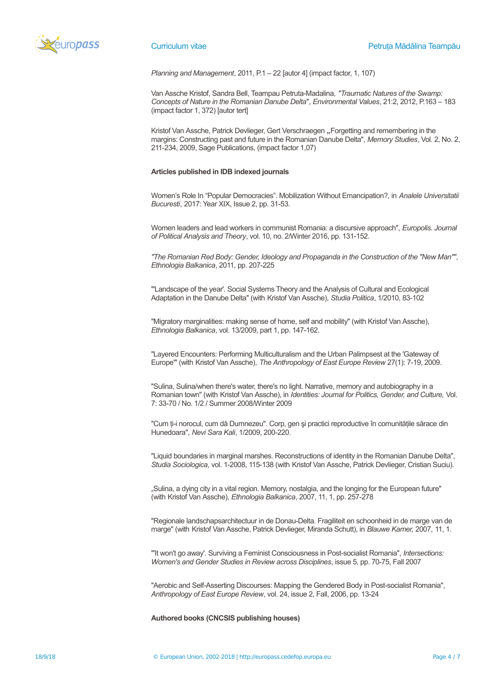

*Planning and Management*, 2011, P.1 – 22 [autor 4] (impact factor, 1, 107)

Van Assche Kristof, Sandra Bell, Teampau Petruta-Madalina, *"Traumatic Natures of the Swamp: Concepts of Nature in the Romanian Danube Delta*", *Environmental Values*, 21:2, 2012, P.163 – 183 (impact factor 1, 372) [autor tert]

Kristof Van Assche, Patrick Devlieger, Gert Verschraegen "Forgetting and remembering in the margins: Constructing past and future in the Romanian Danube Delta", *Memory Studies*, Vol. 2, No. 2, 211-234, 2009, Sage Publications, (impact factor 1,07)

# **Articles published in IDB indexed journals**

Women's Role In "Popular Democracies". Mobilization Without Emancipation?, in *Analele Universitatii Bucuresti*, 2017: Year XIX, Issue 2, pp. 31-53.

Women leaders and lead workers in communist Romania: a discursive approach", *Europolis. Journal of Political Analysis and Theory*, vol. 10, no. 2/Winter 2016, pp. 131-152.

*"The Romanian Red Body: Gender, Ideology and Propaganda in the Construction of the "New Man"", Ethnologia Balkanica*, 2011, pp. 207-225

"'Landscape of the year'. Social Systems Theory and the Analysis of Cultural and Ecological Adaptation in the Danube Delta" (with Kristof Van Assche), *Studia Politica*, 1/2010, 83-102

"Migratory marginalities: making sense of home, self and mobility" (with Kristof Van Assche), *Ethnologia Balkanica*, vol. 13/2009, part 1, pp. 147-162.

"Layered Encounters: Performing Multiculturalism and the Urban Palimpsest at the 'Gateway of Europe'" (with Kristof Van Assche), *The Anthropology of East Europe Review* 27(1): 7-19, 2009.

"Sulina, Sulina/when there's water, there's no light. Narrative, memory and autobiography in a Romanian town" (with Kristof Van Assche), in *Identities: Journal for Politics, Gender, and Culture,* Vol. 7: 33-70 / No. 1/2 / Summer 2008/Winter 2009

"Cum ti-i norocul, cum dă Dumnezeu". Corp, gen și practici reproductive în comunitățile sărace din Hunedoara", *Nevi Sara Kali*, 1/2009, 200-220.

"Liquid boundaries in marginal marshes. Reconstructions of identity in the Romanian Danube Delta", *Studia Sociologica*, vol. 1-2008, 115-138 (with Kristof Van Assche, Patrick Devlieger, Cristian Suciu).

"Sulina, a dying city in a vital region. Memory, nostalgia, and the longing for the European future" (with Kristof Van Assche), *Ethnologia Balkanica*, 2007, 11, 1, pp. 257-278

"Regionale landschapsarchitectuur in de Donau-Delta. Fragiliteit en schoonheid in de marge van de marge" (with Kristof Van Assche, Patrick Devlieger, Miranda Schutt), in *Blauwe Kamer,* 2007, 11, 1.

"'It won't go away'. Surviving a Feminist Consciousness in Post-socialist Romania", *Intersections: Women's and Gender Studies in Review across Disciplines*, issue 5, pp. 70-75, Fall 2007

"Aerobic and Self-Asserting Discourses: Mapping the Gendered Body in Post-socialist Romania", *Anthropology of East Europe Review*, vol. 24, issue 2, Fall, 2006, pp. 13-24

**Authored books (CNCSIS publishing houses)**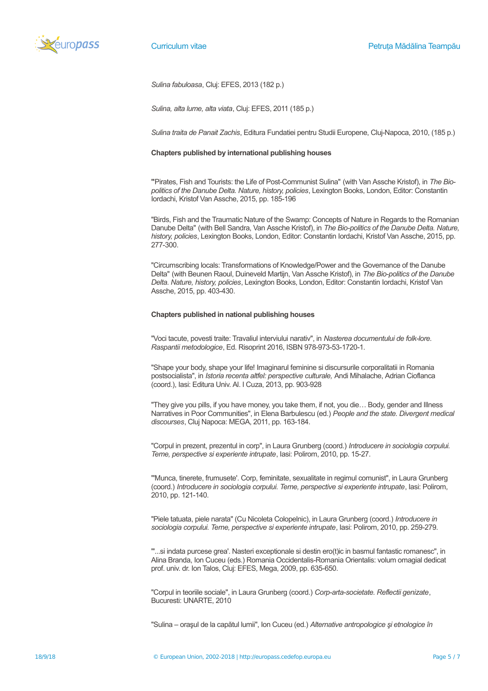

*Sulina fabuloasa*, Cluj: EFES, 2013 (182 p.)

*Sulina, alta lume, alta viata*, Cluj: EFES, 2011 (185 p.)

*Sulina traita de Panait Zachis*, Editura Fundatiei pentru Studii Europene, Cluj-Napoca, 2010, (185 p.)

### **Chapters published by international publishing houses**

**"**Pirates, Fish and Tourists: the Life of Post-Communist Sulina" (with Van Assche Kristof), in *The Biopolitics of the Danube Delta. Nature, history, policies*, Lexington Books, London, Editor: Constantin Iordachi, Kristof Van Assche, 2015, pp. 185-196

"Birds, Fish and the Traumatic Nature of the Swamp: Concepts of Nature in Regards to the Romanian Danube Delta" (with Bell Sandra, Van Assche Kristof), in *The Bio-politics of the Danube Delta. Nature, history, policies*, Lexington Books, London, Editor: Constantin Iordachi, Kristof Van Assche, 2015, pp. 277-300.

"Circumscribing locals: Transformations of Knowledge/Power and the Governance of the Danube Delta" (with Beunen Raoul, Duineveld Martijn, Van Assche Kristof), in *The Bio-politics of the Danube Delta. Nature, history, policies*, Lexington Books, London, Editor: Constantin Iordachi, Kristof Van Assche, 2015, pp. 403-430.

# **Chapters published in national publishing houses**

"Voci tacute, povesti traite: Travaliul interviului narativ", in *Nasterea documentului de folk-lore. Raspantii metodologice*, Ed. Risoprint 2016, ISBN 978-973-53-1720-1.

"Shape your body, shape your life! Imaginarul feminine si discursurile corporalitatii in Romania postsocialista", in *Istoria recenta altfel: perspective culturale,* Andi Mihalache, Adrian Cioflanca (coord.), Iasi: Editura Univ. Al. I Cuza, 2013, pp. 903-928

"They give you pills, if you have money, you take them, if not, you die… Body, gender and Illness Narratives in Poor Communities", in Elena Barbulescu (ed.) *People and the state. Divergent medical discourses*, Cluj Napoca: MEGA, 2011, pp. 163-184.

"Corpul in prezent, prezentul in corp", in Laura Grunberg (coord.) *Introducere in sociologia corpului. Teme, perspective si experiente intrupate*, Iasi: Polirom, 2010, pp. 15-27.

"'Munca, tinerete, frumusete'. Corp, feminitate, sexualitate in regimul comunist", in Laura Grunberg (coord.) *Introducere in sociologia corpului. Teme, perspective si experiente intrupate*, Iasi: Polirom, 2010, pp. 121-140.

"Piele tatuata, piele narata" (Cu Nicoleta Colopelnic), in Laura Grunberg (coord.) *Introducere in sociologia corpului. Teme, perspective si experiente intrupate*, Iasi: Polirom, 2010, pp. 259-279.

"'...si indata purcese grea'. Nasteri exceptionale si destin ero(t)ic in basmul fantastic romanesc", in Alina Branda, Ion Cuceu (eds.) Romania Occidentalis-Romania Orientalis: volum omagial dedicat prof. univ. dr. Ion Talos, Cluj: EFES, Mega, 2009, pp. 635-650.

"Corpul in teoriile sociale", in Laura Grunberg (coord.) *Corp-arta-societate. Reflectii genizate*, Bucuresti: UNARTE, 2010

"Sulina – oraşul de la capătul lumii", Ion Cuceu (ed.) *Alternative antropologice şi etnologice în*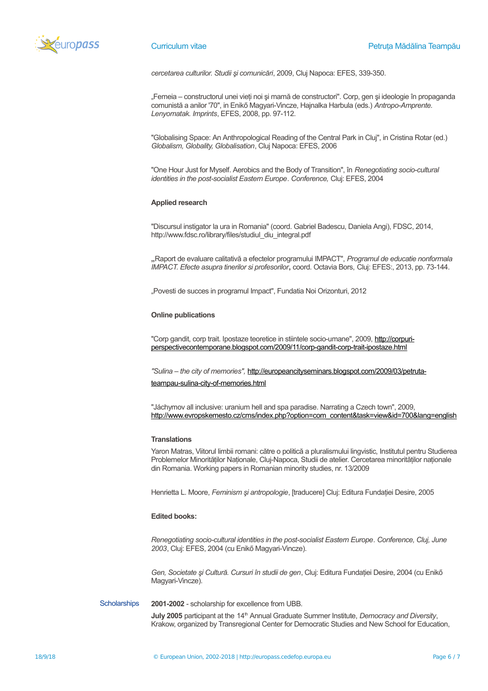

*cercetarea culturilor. Studii şi comunicări*, 2009, Cluj Napoca: EFES, 339-350.

"Femeia – constructorul unei vieţi noi şi mamă de constructori". Corp, gen şi ideologie în propaganda comunistă a anilor '70", in Enikő Magyari-Vincze, Hajnalka Harbula (eds.) *Antropo-Amprente. Lenyomatak. Imprints*, EFES, 2008, pp. 97-112.

"Globalising Space: An Anthropological Reading of the Central Park in Cluj", in Cristina Rotar (ed.) *Globalism, Globality, Globalisation*, Cluj Napoca: EFES, 2006

"One Hour Just for Myself. Aerobics and the Body of Transition", în *Renegotiating socio-cultural identities in the post-socialist Eastern Europe*. *Conference,* Cluj: EFES, 2004

## **Applied research**

"Discursul instigator la ura in Romania" (coord. Gabriel Badescu, Daniela Angi), FDSC, 2014, http://www.fdsc.ro/library/files/studiul\_diu\_integral.pdf

**"**Raport de evaluare calitativă a efectelor programului IMPACT", *Programul de educatie nonformala IMPACT. Efecte asupra tinerilor si profesorilor***,** coord. Octavia Bors, Cluj: EFES:, 2013, pp. 73-144.

"Povesti de succes in programul Impact", Fundatia Noi Orizonturi, 2012

### **Online publications**

"Corp gandit, corp trait. Ipostaze teoretice in stiintele socio-umane", 2009, [http://corpuri](http://corpuri-perspectivecontemporane.blogspot.com/2009/11/corp-gandit-corp-trait-ipostaze.html)[perspectivecontemporane.blogspot.com/2009/11/corp-gandit-corp-trait-ipostaze.html](http://corpuri-perspectivecontemporane.blogspot.com/2009/11/corp-gandit-corp-trait-ipostaze.html)

*"Sulina – the city of memories",* [http://europeancityseminars.blogspot.com/2009/03/petruta](http://europeancityseminars.blogspot.com/2009/03/petruta-teampau-sulina-city-of-memories.html)[teampau-sulina-city-of-memories.html](http://europeancityseminars.blogspot.com/2009/03/petruta-teampau-sulina-city-of-memories.html)

"Jáchymov all inclusive: uranium hell and spa paradise. Narrating a Czech town", 2009, [http://www.evropskemesto.cz/cms/index.php?option=com\\_content&task=view&id=700&lang=english](http://www.evropskemesto.cz/cms/index.php?option=com_content&task=view&id=700&lang=english)

### **Translations**

Yaron Matras, Viitorul limbii romani: către o politică a pluralismului lingvistic, Institutul pentru Studierea Problemelor Minorităţilor Naţionale, Cluj-Napoca, Studii de atelier. Cercetarea minorităţilor naţionale din Romania. Working papers in Romanian minority studies, nr. 13/2009

Henrietta L. Moore, *Feminism şi antropologie*, [traducere] Cluj: Editura Fundaţiei Desire, 2005

# **Edited books:**

*Renegotiating socio-cultural identities in the post-socialist Eastern Europe*. *Conference, Cluj, June 2003*, Cluj: EFES, 2004 (cu Enikő Magyari-Vincze).

*Gen, Societate şi Cultură. Cursuri în studii de gen*, Cluj: Editura Fundaţiei Desire, 2004 (cu Enikő Magyari-Vincze).

Scholarships **2001-2002** - scholarship for excellence from UBB.

**July 2005** participant at the 14<sup>th</sup> Annual Graduate Summer Institute, *Democracy and Diversity*, Krakow, organized by Transregional Center for Democratic Studies and New School for Education,